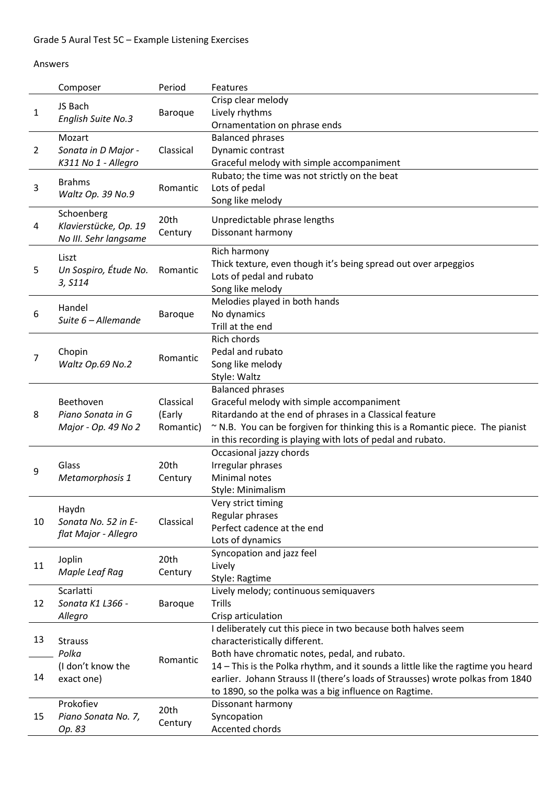## Answers

|                | Composer                                                   | Period          | Features                                                                         |
|----------------|------------------------------------------------------------|-----------------|----------------------------------------------------------------------------------|
|                | JS Bach                                                    |                 | Crisp clear melody                                                               |
| 1              |                                                            | Baroque         | Lively rhythms                                                                   |
|                | English Suite No.3                                         |                 | Ornamentation on phrase ends                                                     |
|                | Mozart                                                     |                 | <b>Balanced phrases</b>                                                          |
| $\overline{2}$ | Sonata in D Major -                                        | Classical       | Dynamic contrast                                                                 |
|                | K311 No 1 - Allegro                                        |                 | Graceful melody with simple accompaniment                                        |
|                | <b>Brahms</b><br>Waltz Op. 39 No.9                         | Romantic        | Rubato; the time was not strictly on the beat                                    |
| 3              |                                                            |                 | Lots of pedal                                                                    |
|                |                                                            |                 | Song like melody                                                                 |
|                | Schoenberg<br>Klavierstücke, Op. 19                        | 20th<br>Century |                                                                                  |
| 4              |                                                            |                 | Unpredictable phrase lengths<br>Dissonant harmony                                |
|                | No III. Sehr langsame                                      |                 |                                                                                  |
|                | Liszt                                                      |                 | Rich harmony                                                                     |
| 5              | Un Sospiro, Étude No.                                      | Romantic        | Thick texture, even though it's being spread out over arpeggios                  |
|                | 3, S114                                                    |                 | Lots of pedal and rubato                                                         |
|                |                                                            |                 | Song like melody                                                                 |
|                | Handel<br>Suite 6 - Allemande                              | Baroque         | Melodies played in both hands                                                    |
| 6              |                                                            |                 | No dynamics                                                                      |
|                |                                                            |                 | Trill at the end                                                                 |
| 7              |                                                            |                 | <b>Rich chords</b>                                                               |
|                | Chopin<br>Waltz Op.69 No.2                                 | Romantic        | Pedal and rubato                                                                 |
|                |                                                            |                 | Song like melody                                                                 |
|                |                                                            |                 | Style: Waltz                                                                     |
|                | Beethoven<br>Piano Sonata in G                             |                 | <b>Balanced phrases</b>                                                          |
|                |                                                            | Classical       | Graceful melody with simple accompaniment                                        |
| 8              |                                                            | (Early          | Ritardando at the end of phrases in a Classical feature                          |
|                | Major - Op. 49 No 2                                        | Romantic)       | ~ N.B. You can be forgiven for thinking this is a Romantic piece. The pianist    |
|                |                                                            |                 | in this recording is playing with lots of pedal and rubato.                      |
|                | Glass                                                      | 20th            | Occasional jazzy chords<br>Irregular phrases                                     |
| 9              | Metamorphosis 1                                            | Century         | Minimal notes                                                                    |
|                |                                                            |                 | Style: Minimalism                                                                |
|                |                                                            |                 | Very strict timing                                                               |
|                | Haydn                                                      |                 | Regular phrases                                                                  |
| 10             | Sonata No. 52 in E-                                        | Classical       | Perfect cadence at the end                                                       |
|                | flat Major - Allegro                                       |                 | Lots of dynamics                                                                 |
|                |                                                            |                 | Syncopation and jazz feel                                                        |
| 11             | Joplin                                                     | 20th            | Lively                                                                           |
|                | Maple Leaf Rag                                             | Century         | Style: Ragtime                                                                   |
|                | Scarlatti                                                  |                 | Lively melody; continuous semiquavers                                            |
| 12             | Sonata K1 L366 -                                           | Baroque         | Trills                                                                           |
|                | Allegro                                                    |                 | Crisp articulation                                                               |
|                |                                                            |                 | I deliberately cut this piece in two because both halves seem                    |
| 13             | <b>Strauss</b><br>Polka<br>(I don't know the<br>exact one) | Romantic        | characteristically different.                                                    |
|                |                                                            |                 | Both have chromatic notes, pedal, and rubato.                                    |
| 14             |                                                            |                 | 14 - This is the Polka rhythm, and it sounds a little like the ragtime you heard |
|                |                                                            |                 | earlier. Johann Strauss II (there's loads of Strausses) wrote polkas from 1840   |
|                |                                                            |                 | to 1890, so the polka was a big influence on Ragtime.                            |
|                | Prokofiev<br>Piano Sonata No. 7,                           | 20th<br>Century | Dissonant harmony                                                                |
| 15             |                                                            |                 | Syncopation                                                                      |
|                | Op. 83                                                     |                 | Accented chords                                                                  |